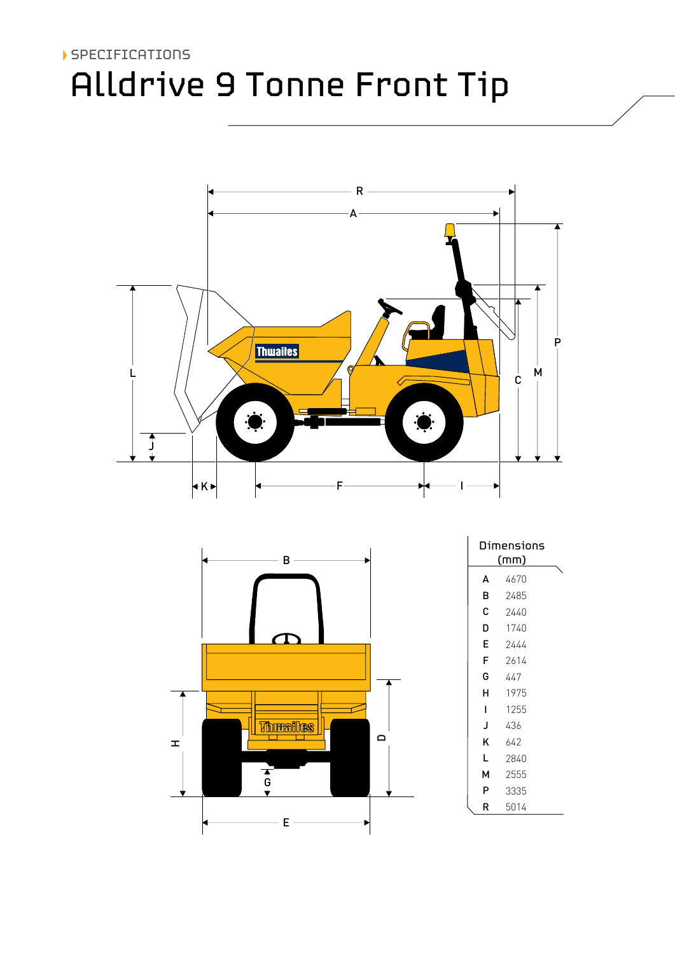# Alldrive 9 Tonne Front Tip SPECIFICATIONS